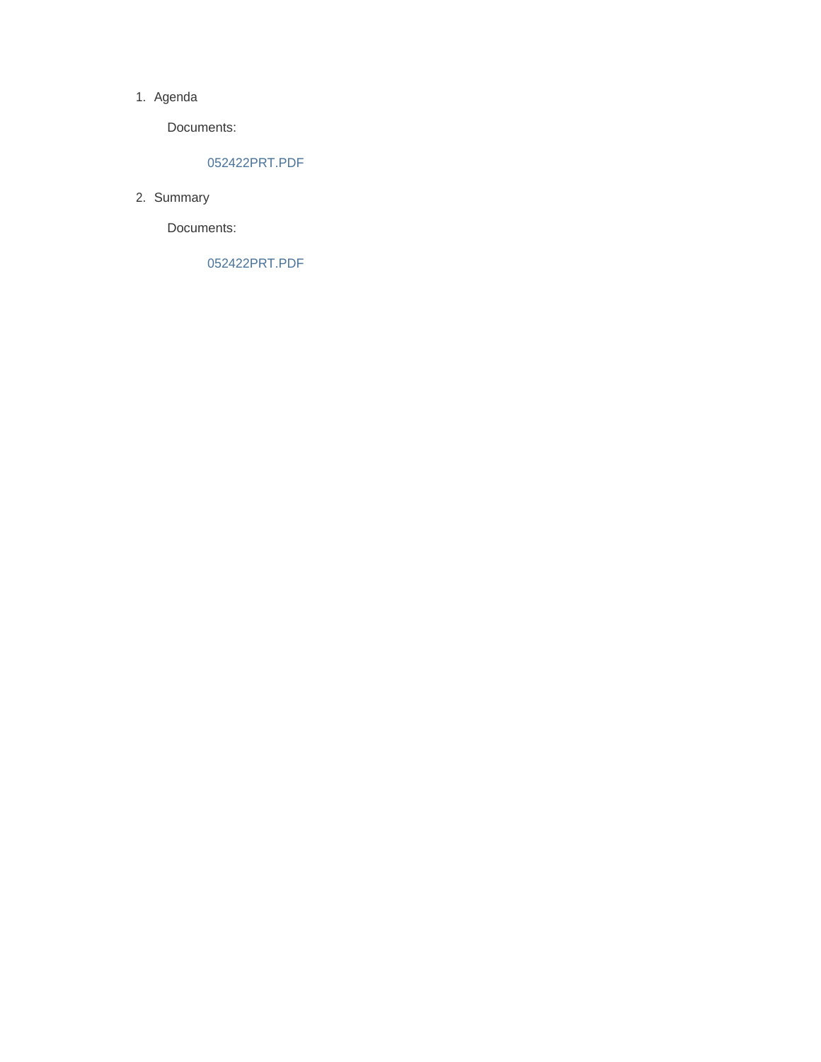#### 1. Agenda

Documents:

#### 052422PRT.PDF

2. Summary

Documents:

052422PRT.PDF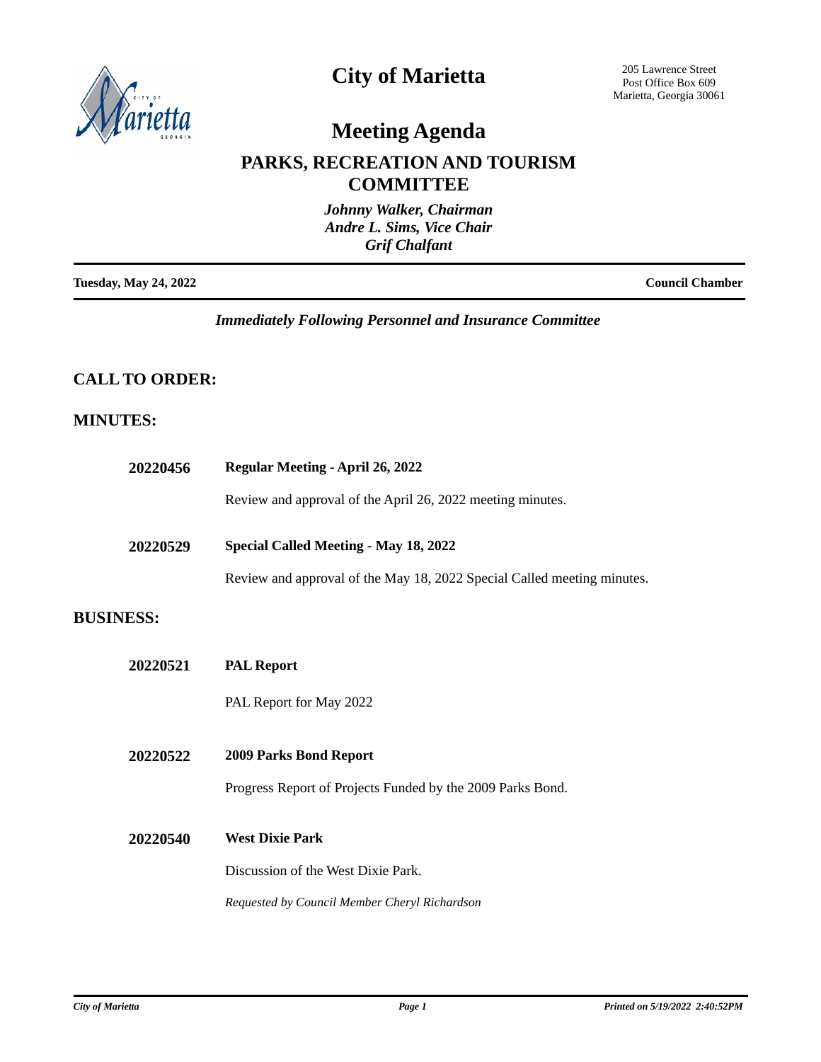

## **City of Marietta**

205 Lawrence Street Post Office Box 609 Marietta, Georgia 30061

# **Meeting Agenda**

### **PARKS, RECREATION AND TOURISM COMMITTEE**

|                              | Johnny Walker, Chairman<br>Andre L. Sims, Vice Chair<br><b>Grif Chalfant</b> |                        |
|------------------------------|------------------------------------------------------------------------------|------------------------|
| <b>Tuesday, May 24, 2022</b> |                                                                              | <b>Council Chamber</b> |

*Immediately Following Personnel and Insurance Committee*

### **CALL TO ORDER:**

### **MINUTES:**

| 20220456         | <b>Regular Meeting - April 26, 2022</b>                                                                          |  |
|------------------|------------------------------------------------------------------------------------------------------------------|--|
|                  | Review and approval of the April 26, 2022 meeting minutes.                                                       |  |
| 20220529         | Special Called Meeting - May 18, 2022<br>Review and approval of the May 18, 2022 Special Called meeting minutes. |  |
| <b>BUSINESS:</b> |                                                                                                                  |  |
| 20220521         | <b>PAL Report</b>                                                                                                |  |
|                  | PAL Report for May 2022                                                                                          |  |
| 20220522         | 2009 Parks Bond Report                                                                                           |  |
|                  | Progress Report of Projects Funded by the 2009 Parks Bond.                                                       |  |
| 20220540         | <b>West Dixie Park</b>                                                                                           |  |
|                  | Discussion of the West Dixie Park.                                                                               |  |
|                  | Requested by Council Member Cheryl Richardson                                                                    |  |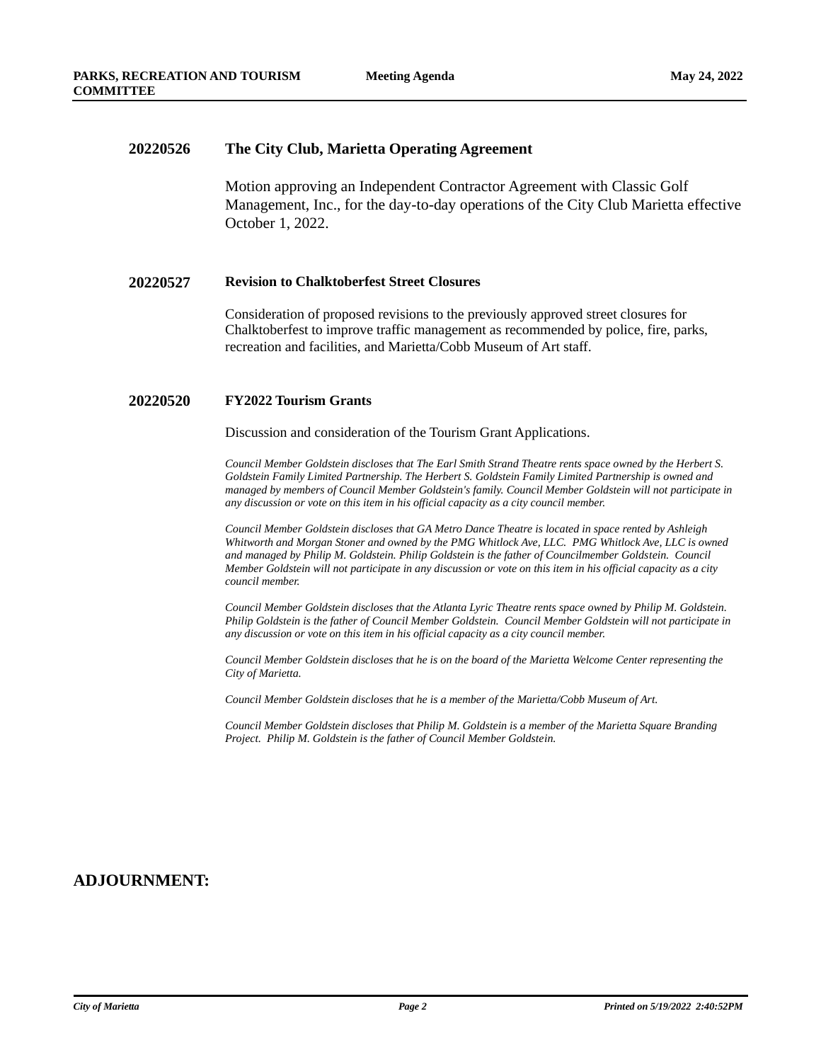#### **20220526 The City Club, Marietta Operating Agreement**

Motion approving an Independent Contractor Agreement with Classic Golf Management, Inc., for the day-to-day operations of the City Club Marietta effective October 1, 2022.

#### **20220527 Revision to Chalktoberfest Street Closures**

Consideration of proposed revisions to the previously approved street closures for Chalktoberfest to improve traffic management as recommended by police, fire, parks, recreation and facilities, and Marietta/Cobb Museum of Art staff.

#### **20220520 FY2022 Tourism Grants**

Discussion and consideration of the Tourism Grant Applications.

*Council Member Goldstein discloses that The Earl Smith Strand Theatre rents space owned by the Herbert S. Goldstein Family Limited Partnership. The Herbert S. Goldstein Family Limited Partnership is owned and managed by members of Council Member Goldstein's family. Council Member Goldstein will not participate in any discussion or vote on this item in his official capacity as a city council member.*

*Council Member Goldstein discloses that GA Metro Dance Theatre is located in space rented by Ashleigh Whitworth and Morgan Stoner and owned by the PMG Whitlock Ave, LLC. PMG Whitlock Ave, LLC is owned and managed by Philip M. Goldstein. Philip Goldstein is the father of Councilmember Goldstein. Council Member Goldstein will not participate in any discussion or vote on this item in his official capacity as a city council member.*

*Council Member Goldstein discloses that the Atlanta Lyric Theatre rents space owned by Philip M. Goldstein. Philip Goldstein is the father of Council Member Goldstein. Council Member Goldstein will not participate in any discussion or vote on this item in his official capacity as a city council member.*

*Council Member Goldstein discloses that he is on the board of the Marietta Welcome Center representing the City of Marietta.*

*Council Member Goldstein discloses that he is a member of the Marietta/Cobb Museum of Art.*

*Council Member Goldstein discloses that Philip M. Goldstein is a member of the Marietta Square Branding Project. Philip M. Goldstein is the father of Council Member Goldstein.*

### **ADJOURNMENT:**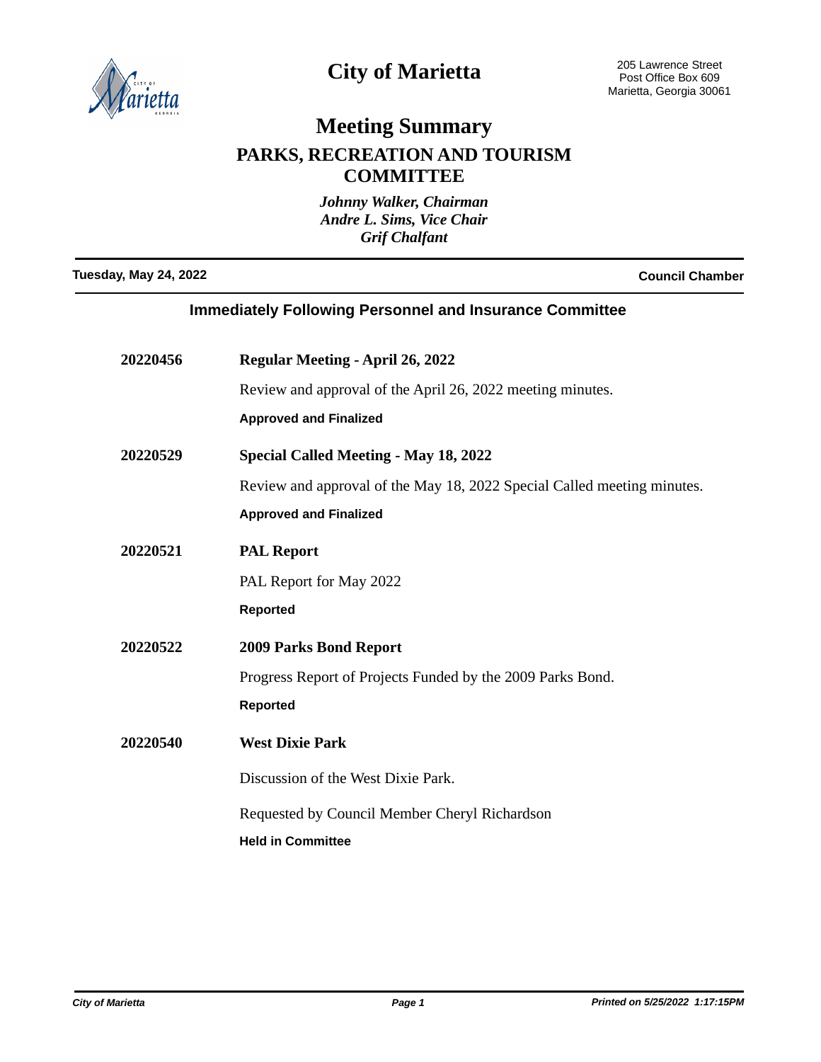

# **City of Marietta**

## **Meeting Summary PARKS, RECREATION AND TOURISM COMMITTEE**

*Johnny Walker, Chairman Andre L. Sims, Vice Chair Grif Chalfant*

**Tuesday, May 24, 2022 Council Chamber**

| <b>Immediately Following Personnel and Insurance Committee</b> |                                                                         |  |
|----------------------------------------------------------------|-------------------------------------------------------------------------|--|
| 20220456                                                       | <b>Regular Meeting - April 26, 2022</b>                                 |  |
|                                                                | Review and approval of the April 26, 2022 meeting minutes.              |  |
|                                                                | <b>Approved and Finalized</b>                                           |  |
| 20220529                                                       | <b>Special Called Meeting - May 18, 2022</b>                            |  |
|                                                                | Review and approval of the May 18, 2022 Special Called meeting minutes. |  |
|                                                                | <b>Approved and Finalized</b>                                           |  |
| 20220521                                                       | <b>PAL Report</b>                                                       |  |
|                                                                | PAL Report for May 2022                                                 |  |
|                                                                | <b>Reported</b>                                                         |  |
| 20220522                                                       | <b>2009 Parks Bond Report</b>                                           |  |
|                                                                | Progress Report of Projects Funded by the 2009 Parks Bond.              |  |
|                                                                | <b>Reported</b>                                                         |  |
| 20220540                                                       | <b>West Dixie Park</b>                                                  |  |
|                                                                | Discussion of the West Dixie Park.                                      |  |
|                                                                | Requested by Council Member Cheryl Richardson                           |  |
|                                                                | <b>Held in Committee</b>                                                |  |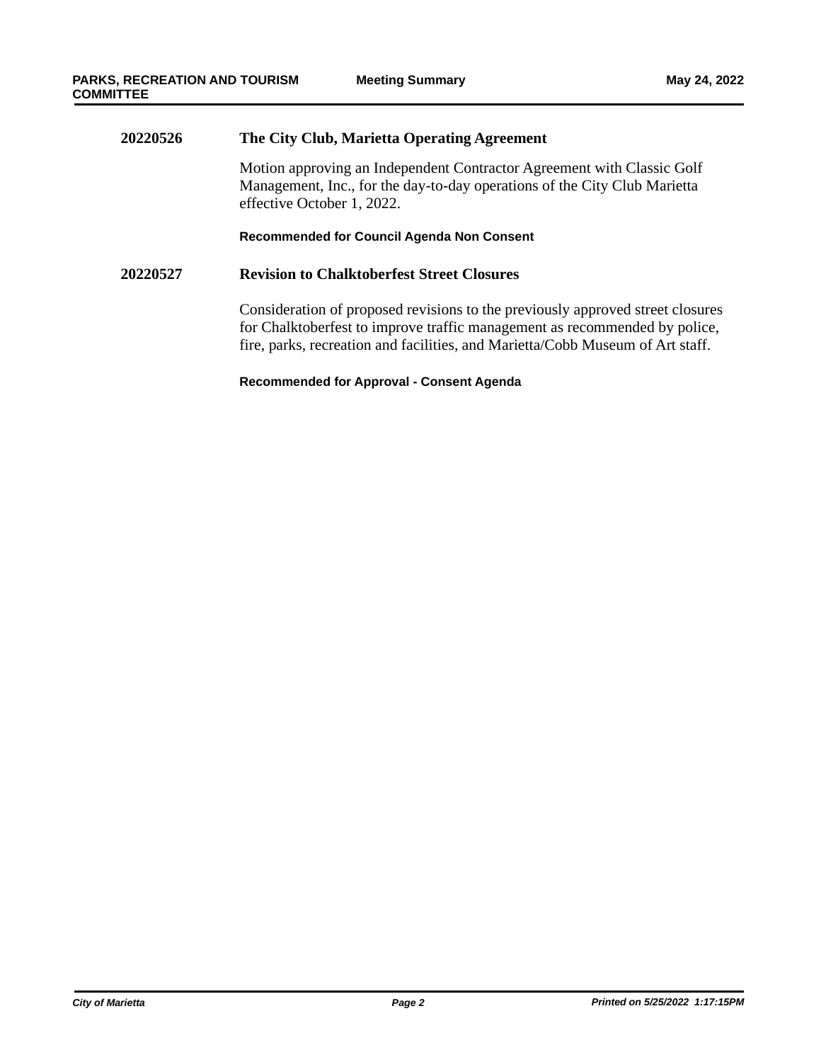## **20220526 The City Club, Marietta Operating Agreement** Motion approving an Independent Contractor Agreement with Classic Golf Management, Inc., for the day-to-day operations of the City Club Marietta effective October 1, 2022. **Recommended for Council Agenda Non Consent 20220527 Revision to Chalktoberfest Street Closures** Consideration of proposed revisions to the previously approved street closures for Chalktoberfest to improve traffic management as recommended by police, fire, parks, recreation and facilities, and Marietta/Cobb Museum of Art staff.

#### **Recommended for Approval - Consent Agenda**